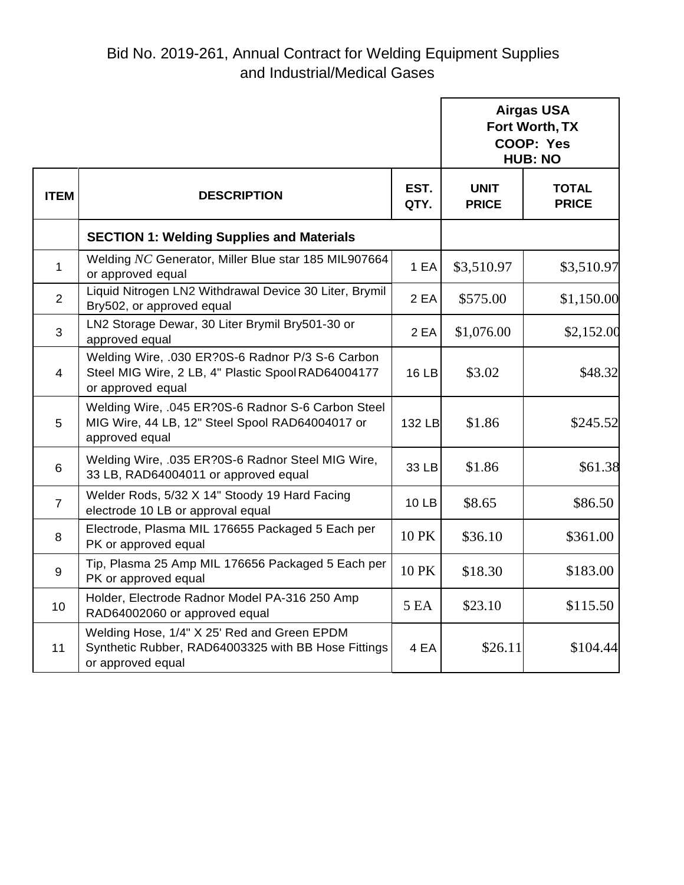|                |                                                                                                                             |              | <b>Airgas USA</b><br>Fort Worth, TX<br>COOP: Yes<br><b>HUB: NO</b> |                              |
|----------------|-----------------------------------------------------------------------------------------------------------------------------|--------------|--------------------------------------------------------------------|------------------------------|
| <b>ITEM</b>    | <b>DESCRIPTION</b>                                                                                                          | EST.<br>QTY. | <b>UNIT</b><br><b>PRICE</b>                                        | <b>TOTAL</b><br><b>PRICE</b> |
|                | <b>SECTION 1: Welding Supplies and Materials</b>                                                                            |              |                                                                    |                              |
| $\mathbf{1}$   | Welding NC Generator, Miller Blue star 185 MIL907664<br>or approved equal                                                   | 1 EA         | \$3,510.97                                                         | \$3,510.97                   |
| $\overline{2}$ | Liquid Nitrogen LN2 Withdrawal Device 30 Liter, Brymil<br>Bry502, or approved equal                                         | 2 EA         | \$575.00                                                           | \$1,150.00                   |
| 3              | LN2 Storage Dewar, 30 Liter Brymil Bry501-30 or<br>approved equal                                                           | 2 EA         | \$1,076.00                                                         | \$2,152.00                   |
| $\overline{4}$ | Welding Wire, .030 ER?0S-6 Radnor P/3 S-6 Carbon<br>Steel MIG Wire, 2 LB, 4" Plastic Spool RAD64004177<br>or approved equal | <b>16 LB</b> | \$3.02                                                             | \$48.32                      |
| 5              | Welding Wire, .045 ER?0S-6 Radnor S-6 Carbon Steel<br>MIG Wire, 44 LB, 12" Steel Spool RAD64004017 or<br>approved equal     | 132 LB       | \$1.86                                                             | \$245.52                     |
| 6              | Welding Wire, .035 ER?0S-6 Radnor Steel MIG Wire,<br>33 LB, RAD64004011 or approved equal                                   | 33 LB        | \$1.86                                                             | \$61.38                      |
| $\overline{7}$ | Welder Rods, 5/32 X 14" Stoody 19 Hard Facing<br>electrode 10 LB or approval equal                                          | <b>10 LB</b> | \$8.65                                                             | \$86.50                      |
| 8              | Electrode, Plasma MIL 176655 Packaged 5 Each per<br>PK or approved equal                                                    | 10 PK        | \$36.10                                                            | \$361.00                     |
| 9              | Tip, Plasma 25 Amp MIL 176656 Packaged 5 Each per<br>PK or approved equal                                                   | 10 PK        | \$18.30                                                            | \$183.00                     |
| 10             | Holder, Electrode Radnor Model PA-316 250 Amp<br>RAD64002060 or approved equal                                              | 5 EA         | \$23.10                                                            | \$115.50                     |
| 11             | Welding Hose, 1/4" X 25' Red and Green EPDM<br>Synthetic Rubber, RAD64003325 with BB Hose Fittings<br>or approved equal     | 4 EA         | \$26.11                                                            | \$104.44                     |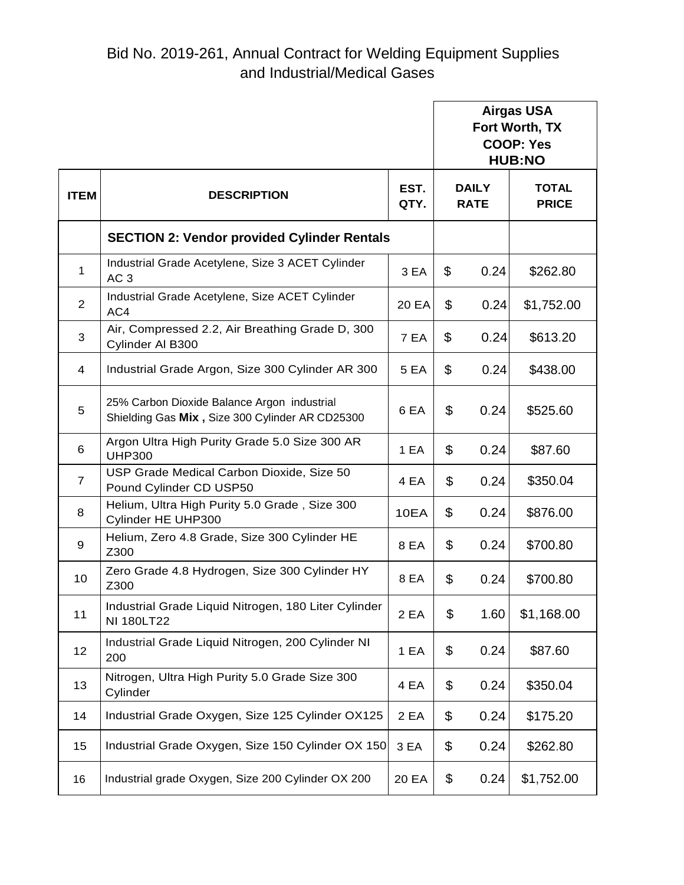|                |                                                                                                |              | <b>Airgas USA</b><br>Fort Worth, TX<br><b>COOP: Yes</b><br><b>HUB:NO</b> |                             |                              |
|----------------|------------------------------------------------------------------------------------------------|--------------|--------------------------------------------------------------------------|-----------------------------|------------------------------|
| <b>ITEM</b>    | <b>DESCRIPTION</b>                                                                             | EST.<br>QTY. |                                                                          | <b>DAILY</b><br><b>RATE</b> | <b>TOTAL</b><br><b>PRICE</b> |
|                | <b>SECTION 2: Vendor provided Cylinder Rentals</b>                                             |              |                                                                          |                             |                              |
| 1              | Industrial Grade Acetylene, Size 3 ACET Cylinder<br>AC <sub>3</sub>                            | 3 EA         | \$                                                                       | 0.24                        | \$262.80                     |
| 2              | Industrial Grade Acetylene, Size ACET Cylinder<br>AC4                                          | 20 EA        | \$                                                                       | 0.24                        | \$1,752.00                   |
| 3              | Air, Compressed 2.2, Air Breathing Grade D, 300<br>Cylinder Al B300                            | 7 EA         | \$                                                                       | 0.24                        | \$613.20                     |
| 4              | Industrial Grade Argon, Size 300 Cylinder AR 300                                               | <b>5 EA</b>  | \$                                                                       | 0.24                        | \$438.00                     |
| 5              | 25% Carbon Dioxide Balance Argon industrial<br>Shielding Gas Mix, Size 300 Cylinder AR CD25300 | 6 EA         | \$                                                                       | 0.24                        | \$525.60                     |
| 6              | Argon Ultra High Purity Grade 5.0 Size 300 AR<br><b>UHP300</b>                                 | 1 EA         | \$                                                                       | 0.24                        | \$87.60                      |
| $\overline{7}$ | USP Grade Medical Carbon Dioxide, Size 50<br>Pound Cylinder CD USP50                           | 4 EA         | \$                                                                       | 0.24                        | \$350.04                     |
| 8              | Helium, Ultra High Purity 5.0 Grade, Size 300<br>Cylinder HE UHP300                            | 10EA         | \$                                                                       | 0.24                        | \$876.00                     |
| 9              | Helium, Zero 4.8 Grade, Size 300 Cylinder HE<br>Z300                                           | 8 EA         | \$                                                                       | 0.24                        | \$700.80                     |
| 10             | Zero Grade 4.8 Hydrogen, Size 300 Cylinder HY<br>Z300                                          | 8 EA         | \$                                                                       | 0.24                        | \$700.80                     |
| 11             | Industrial Grade Liquid Nitrogen, 180 Liter Cylinder<br>NI 180LT22                             | 2 EA         | \$                                                                       | 1.60                        | \$1,168.00                   |
| 12             | Industrial Grade Liquid Nitrogen, 200 Cylinder NI<br>200                                       | 1 EA         | \$                                                                       | 0.24                        | \$87.60                      |
| 13             | Nitrogen, Ultra High Purity 5.0 Grade Size 300<br>Cylinder                                     | 4 EA         | \$                                                                       | 0.24                        | \$350.04                     |
| 14             | Industrial Grade Oxygen, Size 125 Cylinder OX125                                               | 2 EA         | \$                                                                       | 0.24                        | \$175.20                     |
| 15             | Industrial Grade Oxygen, Size 150 Cylinder OX 150                                              | 3 EA         | \$                                                                       | 0.24                        | \$262.80                     |
| 16             | Industrial grade Oxygen, Size 200 Cylinder OX 200                                              | 20 EA        | \$                                                                       | 0.24                        | \$1,752.00                   |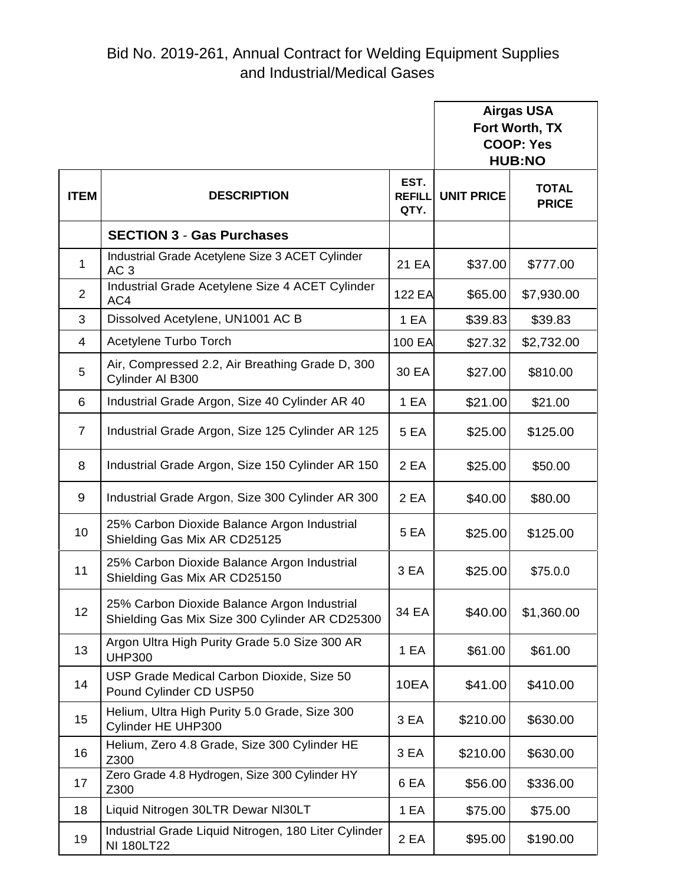|                |                                                                                               |                               | <b>Airgas USA</b><br>Fort Worth, TX<br><b>COOP: Yes</b><br><b>HUB:NO</b> |                              |
|----------------|-----------------------------------------------------------------------------------------------|-------------------------------|--------------------------------------------------------------------------|------------------------------|
| <b>ITEM</b>    | <b>DESCRIPTION</b>                                                                            | EST.<br><b>REFILL</b><br>QTY. | <b>UNIT PRICE</b>                                                        | <b>TOTAL</b><br><b>PRICE</b> |
|                | <b>SECTION 3 - Gas Purchases</b>                                                              |                               |                                                                          |                              |
| $\mathbf{1}$   | Industrial Grade Acetylene Size 3 ACET Cylinder<br>AC <sub>3</sub>                            | 21 EA                         | \$37.00                                                                  | \$777.00                     |
| $\overline{2}$ | Industrial Grade Acetylene Size 4 ACET Cylinder<br>AC4                                        | <b>122 EA</b>                 | \$65.00                                                                  | \$7,930.00                   |
| 3              | Dissolved Acetylene, UN1001 AC B                                                              | 1 EA                          | \$39.83                                                                  | \$39.83                      |
| 4              | Acetylene Turbo Torch                                                                         | 100 EA                        | \$27.32                                                                  | \$2,732.00                   |
| 5              | Air, Compressed 2.2, Air Breathing Grade D, 300<br>Cylinder Al B300                           | 30 EA                         | \$27.00                                                                  | \$810.00                     |
| 6              | Industrial Grade Argon, Size 40 Cylinder AR 40                                                | 1 EA                          | \$21.00                                                                  | \$21.00                      |
| $\overline{7}$ | Industrial Grade Argon, Size 125 Cylinder AR 125                                              | 5 EA                          | \$25.00                                                                  | \$125.00                     |
| 8              | Industrial Grade Argon, Size 150 Cylinder AR 150                                              | 2 EA                          | \$25.00                                                                  | \$50.00                      |
| 9              | Industrial Grade Argon, Size 300 Cylinder AR 300                                              | 2 EA                          | \$40.00                                                                  | \$80.00                      |
| 10             | 25% Carbon Dioxide Balance Argon Industrial<br>Shielding Gas Mix AR CD25125                   | 5 EA                          | \$25.00                                                                  | \$125.00                     |
| 11             | 25% Carbon Dioxide Balance Argon Industrial<br>Shielding Gas Mix AR CD25150                   | 3 EA                          | \$25.00                                                                  | \$75.0.0                     |
| 12             | 25% Carbon Dioxide Balance Argon Industrial<br>Shielding Gas Mix Size 300 Cylinder AR CD25300 | 34 EA                         | \$40.00                                                                  | \$1,360.00                   |
| 13             | Argon Ultra High Purity Grade 5.0 Size 300 AR<br><b>UHP300</b>                                | 1 EA                          | \$61.00                                                                  | \$61.00                      |
| 14             | USP Grade Medical Carbon Dioxide, Size 50<br>Pound Cylinder CD USP50                          | 10EA                          | \$41.00                                                                  | \$410.00                     |
| 15             | Helium, Ultra High Purity 5.0 Grade, Size 300<br>Cylinder HE UHP300                           | 3 EA                          | \$210.00                                                                 | \$630.00                     |
| 16             | Helium, Zero 4.8 Grade, Size 300 Cylinder HE<br>Z300                                          | 3 EA                          | \$210.00                                                                 | \$630.00                     |
| 17             | Zero Grade 4.8 Hydrogen, Size 300 Cylinder HY<br>Z300                                         | 6 EA                          | \$56.00                                                                  | \$336.00                     |
| 18             | Liquid Nitrogen 30LTR Dewar NI30LT                                                            | 1 EA                          | \$75.00                                                                  | \$75.00                      |
| 19             | Industrial Grade Liquid Nitrogen, 180 Liter Cylinder<br>NI 180LT22                            | 2 EA                          | \$95.00                                                                  | \$190.00                     |